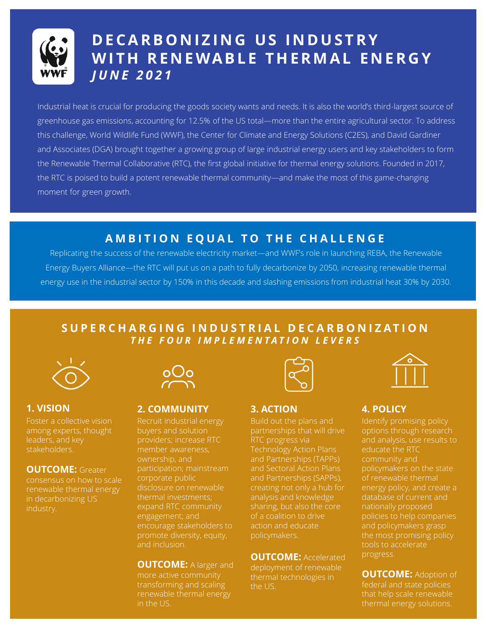

# **D E C A R B O N I Z I N G U S I N D U S T R Y**  WITH RENEWABLE THERMAL ENERGY *J U N E 2 0 2 1*

Industrial heat is crucial for producing the goods society wants and needs. It is also the world's third-largest source of greenhouse gas emissions, accounting for 12.5% of the US total—more than the entire agricultural sector. To address this challenge, World Wildlife Fund (WWF), the Center for Climate and Energy Solutions (C2ES), and David Gardiner and Associates (DGA) brought together a growing group of large industrial energy users and key stakeholders to form the Renewable Thermal Collaborative (RTC), the first global initiative for thermal energy solutions. Founded in 2017, the RTC is poised to build a potent renewable thermal community—and make the most of this game-changing moment for green growth.

## **AMBITION EQUAL TO THE CHALLENGE**

Replicating the success of the renewable electricity market—and WWF's role in launching REBA, the Renewable Energy Buyers Alliance—the RTC will put us on a path to fully decarbonize by 2050, increasing renewable thermal energy use in the industrial sector by 150% in this decade and slashing emissions from industrial heat 30% by 2030.

## **S U P E R C H A R G I N G I N D U S T R I A L D E C A R B O N I Z A T I O N** *T H E F O U R I M P L E M E N T A T I O N L E V E R S*



Foster a collective vision among experts, thought leaders, and key stakeholders.

### **OUTCOME: Greater**

renewable thermal energy in decarbonizing US industry.



### **1. VISION 2. COMMUNITY 3. ACTION 4. POLICY**

Recruit industrial energy buyers and solution providers; increase RTC member awareness, ownership, and participation; mainstream corporate public disclosure on renewable expand RTC community engagement; and encourage stakeholders to promote diversity, equity, and inclusion.

### **OUTCOME:** A larger and more active community

transforming and scaling renewable thermal energy in the US.



Build out the plans and partnerships that will drive RTC progress via Technology Action Plans and Partnerships (TAPPs) and Sectoral Action Plans and Partnerships (SAPPs), creating not only a hub for analysis and knowledge sharing, but also the core of a coalition to drive action and educate policymakers.

**OUTCOME: Accelerated** deployment of renewable thermal technologies in the US.



Identify promising policy options through research educate the RTC community and policymakers on the state of renewable thermal energy policy, and create a database of current and nationally proposed policies to help companies and policymakers grasp the most promising policy tools to accelerate progress.

**OUTCOME: Adoption of** federal and state policies that help scale renewable thermal energy solutions.